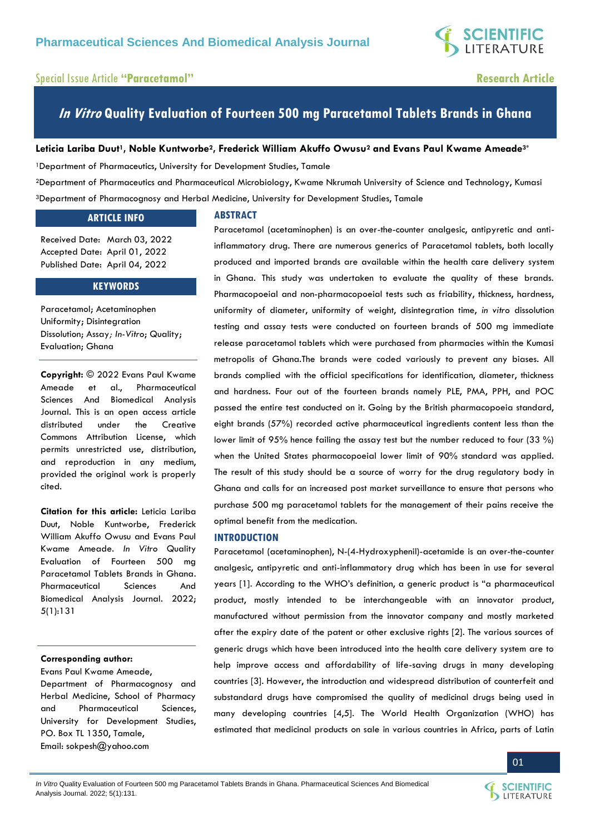

## Special Issue Article **"Paracetamol" Research Article**

## **In Vitro Quality Evaluation of Fourteen 500 mg Paracetamol Tablets Brands in Ghana**

## **Leticia Lariba Duut1, Noble Kuntworbe2, Frederick William Akuffo Owusu<sup>2</sup> and Evans Paul Kwame Ameade3\***

<sup>1</sup>Department of Pharmaceutics, University for Development Studies, Tamale

<sup>2</sup>Department of Pharmaceutics and Pharmaceutical Microbiology, Kwame Nkrumah University of Science and Technology, Kumasi <sup>3</sup>Department of Pharmacognosy and Herbal Medicine, University for Development Studies, Tamale

## **ARTICLE INFO**

Received Date: March 03, 2022 Accepted Date: April 01, 2022 Published Date: April 04, 2022

## **KEYWORDS**

Paracetamol; Acetaminophen Uniformity; Disintegration Dissolution; Assay*; In-Vitro*; Quality; Evaluation; Ghana

**Copyright:** © 2022 Evans Paul Kwame Ameade et al., Pharmaceutical Sciences And Biomedical Analysis Journal. This is an open access article distributed under the Creative Commons Attribution License, which permits unrestricted use, distribution, and reproduction in any medium, provided the original work is properly cited.

**Citation for this article:** Leticia Lariba Duut, Noble Kuntworbe, Frederick William Akuffo Owusu and Evans Paul Kwame Ameade. *In Vitro* Quality Evaluation of Fourteen 500 mg Paracetamol Tablets Brands in Ghana. Pharmaceutical Sciences And Biomedical Analysis Journal. 2022; 5(1):131

## **Corresponding author:**

Evans Paul Kwame Ameade, Department of Pharmacognosy and Herbal Medicine, School of Pharmacy and Pharmaceutical Sciences, University for Development Studies, PO. Box TL 1350, Tamale, Email: [sokpesh@yahoo.com](mailto:sokpesh@yahoo.com)

### **ABSTRACT**

Paracetamol (acetaminophen) is an over-the-counter analgesic, antipyretic and antiinflammatory drug. There are numerous generics of Paracetamol tablets, both locally produced and imported brands are available within the health care delivery system in Ghana. This study was undertaken to evaluate the quality of these brands. Pharmacopoeial and non-pharmacopoeial tests such as friability, thickness, hardness, uniformity of diameter, uniformity of weight, disintegration time, *in vitro* dissolution testing and assay tests were conducted on fourteen brands of 500 mg immediate release paracetamol tablets which were purchased from pharmacies within the Kumasi metropolis of Ghana.The brands were coded variously to prevent any biases. All brands complied with the official specifications for identification, diameter, thickness and hardness. Four out of the fourteen brands namely PLE, PMA, PPH, and POC passed the entire test conducted on it. Going by the British pharmacopoeia standard, eight brands (57%) recorded active pharmaceutical ingredients content less than the lower limit of 95% hence failing the assay test but the number reduced to four (33 %) when the United States pharmacopoeial lower limit of 90% standard was applied. The result of this study should be a source of worry for the drug regulatory body in Ghana and calls for an increased post market surveillance to ensure that persons who purchase 500 mg paracetamol tablets for the management of their pains receive the optimal benefit from the medication.

## **INTRODUCTION**

Paracetamol (acetaminophen), N-(4-Hydroxyphenil)-acetamide is an over-the-counter analgesic, antipyretic and anti-inflammatory drug which has been in use for several years [1]. According to the WHO's definition, a generic product is "a pharmaceutical product, mostly intended to be interchangeable with an innovator product, manufactured without permission from the innovator company and mostly marketed after the expiry date of the patent or other exclusive rights [2]. The various sources of generic drugs which have been introduced into the health care delivery system are to help improve access and affordability of life-saving drugs in many developing countries [3]. However, the introduction and widespread distribution of counterfeit and substandard drugs have compromised the quality of medicinal drugs being used in many developing countries [4,5]. The World Health Organization (WHO) has estimated that medicinal products on sale in various countries in Africa, parts of Latin



01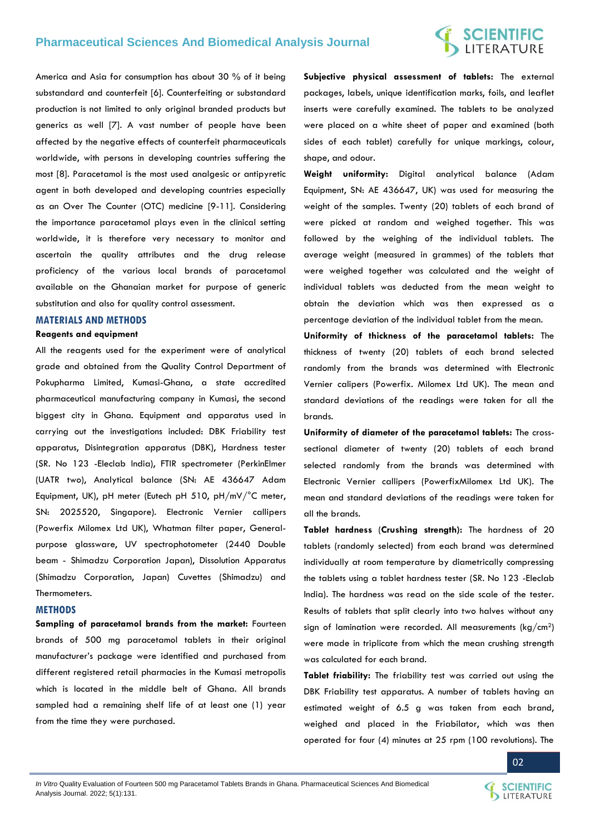## **SCIENTIFIC**<br>LITERATURE

America and Asia for consumption has about 30 % of it being substandard and counterfeit [6]. Counterfeiting or substandard production is not limited to only original branded products but generics as well [7]. A vast number of people have been affected by the negative effects of counterfeit pharmaceuticals worldwide, with persons in developing countries suffering the most [8]. Paracetamol is the most used analgesic or antipyretic agent in both developed and developing countries especially as an Over The Counter (OTC) medicine [9-11]. Considering the importance paracetamol plays even in the clinical setting worldwide, it is therefore very necessary to monitor and ascertain the quality attributes and the drug release proficiency of the various local brands of paracetamol available on the Ghanaian market for purpose of generic substitution and also for quality control assessment.

## **MATERIALS AND METHODS**

#### **Reagents and equipment**

All the reagents used for the experiment were of analytical grade and obtained from the Quality Control Department of Pokupharma Limited, Kumasi-Ghana, a state accredited pharmaceutical manufacturing company in Kumasi, the second biggest city in Ghana. Equipment and apparatus used in carrying out the investigations included: DBK Friability test apparatus, Disintegration apparatus (DBK), Hardness tester (SR. No 123 -Eleclab India), FTIR spectrometer (PerkinElmer (UATR two), Analytical balance (SN: AE 436647 Adam Equipment, UK), pH meter (Eutech pH 510, pH/mV/°C meter, SN: 2025520, Singapore). Electronic Vernier callipers (Powerfix Milomex Ltd UK), Whatman filter paper, Generalpurpose glassware, UV spectrophotometer (2440 Double beam - Shimadzu Corporation Japan), Dissolution Apparatus (Shimadzu Corporation, Japan) Cuvettes (Shimadzu) and Thermometers.

#### **METHODS**

**Sampling of paracetamol brands from the market:** Fourteen brands of 500 mg paracetamol tablets in their original manufacturer's package were identified and purchased from different registered retail pharmacies in the Kumasi metropolis which is located in the middle belt of Ghana. All brands sampled had a remaining shelf life of at least one (1) year from the time they were purchased.

**Subjective physical assessment of tablets:** The external packages, labels, unique identification marks, foils, and leaflet inserts were carefully examined. The tablets to be analyzed were placed on a white sheet of paper and examined (both sides of each tablet) carefully for unique markings, colour, shape, and odour.

**Weight uniformity:** Digital analytical balance (Adam Equipment, SN: AE 436647, UK) was used for measuring the weight of the samples. Twenty (20) tablets of each brand of were picked at random and weighed together. This was followed by the weighing of the individual tablets. The average weight (measured in grammes) of the tablets that were weighed together was calculated and the weight of individual tablets was deducted from the mean weight to obtain the deviation which was then expressed as a percentage deviation of the individual tablet from the mean.

**Uniformity of thickness of the paracetamol tablets:** The thickness of twenty (20) tablets of each brand selected randomly from the brands was determined with Electronic Vernier calipers (Powerfix. Milomex Ltd UK). The mean and standard deviations of the readings were taken for all the brands.

**Uniformity of diameter of the paracetamol tablets:** The crosssectional diameter of twenty (20) tablets of each brand selected randomly from the brands was determined with Electronic Vernier callipers (PowerfixMilomex Ltd UK). The mean and standard deviations of the readings were taken for all the brands.

**Tablet hardness** (**Crushing strength):** The hardness of 20 tablets (randomly selected) from each brand was determined individually at room temperature by diametrically compressing the tablets using a tablet hardness tester (SR. No 123 -Eleclab India). The hardness was read on the side scale of the tester. Results of tablets that split clearly into two halves without any sign of lamination were recorded. All measurements (kg/cm2) were made in triplicate from which the mean crushing strength was calculated for each brand.

**Tablet friability:** The friability test was carried out using the DBK Friability test apparatus. A number of tablets having an estimated weight of 6.5 g was taken from each brand, weighed and placed in the Friabilator, which was then operated for four (4) minutes at 25 rpm (100 revolutions). The

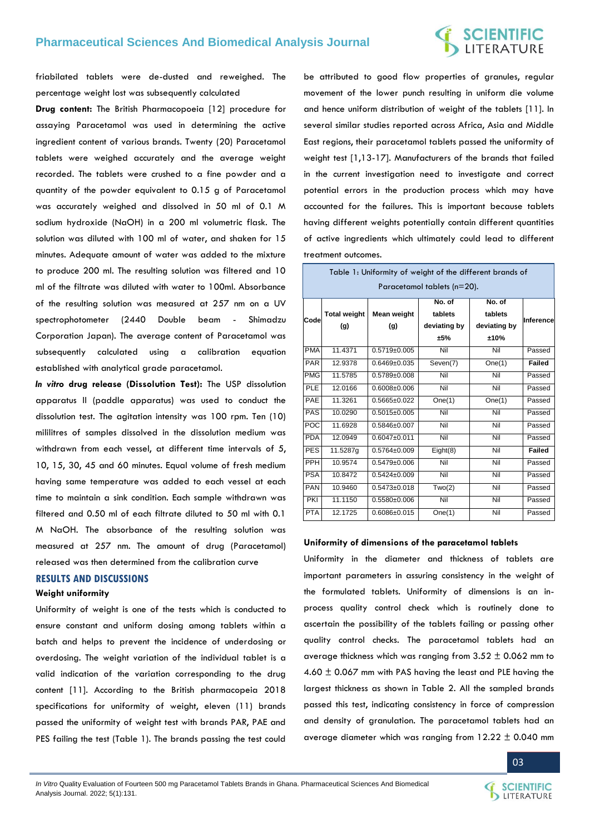## **SCIENTIFIC**<br>LITERATURE

friabilated tablets were de-dusted and reweighed. The percentage weight lost was subsequently calculated

**Drug content:** The British Pharmacopoeia [12] procedure for assaying Paracetamol was used in determining the active ingredient content of various brands. Twenty (20) Paracetamol tablets were weighed accurately and the average weight recorded. The tablets were crushed to a fine powder and a quantity of the powder equivalent to 0.15 g of Paracetamol was accurately weighed and dissolved in 50 ml of 0.1 M sodium hydroxide (NaOH) in a 200 ml volumetric flask. The solution was diluted with 100 ml of water, and shaken for 15 minutes. Adequate amount of water was added to the mixture to produce 200 ml. The resulting solution was filtered and 10 ml of the filtrate was diluted with water to 100ml. Absorbance of the resulting solution was measured at 257 nm on a UV spectrophotometer (2440 Double beam - Shimadzu Corporation Japan). The average content of Paracetamol was subsequently calculated using a calibration equation established with analytical grade paracetamol.

*In vitro* **drug release (Dissolution Test):** The USP dissolution apparatus II (paddle apparatus) was used to conduct the dissolution test. The agitation intensity was 100 rpm. Ten (10) mililitres of samples dissolved in the dissolution medium was withdrawn from each vessel, at different time intervals of 5, 10, 15, 30, 45 and 60 minutes. Equal volume of fresh medium having same temperature was added to each vessel at each time to maintain a sink condition. Each sample withdrawn was filtered and 0.50 ml of each filtrate diluted to 50 ml with 0.1 M NaOH. The absorbance of the resulting solution was measured at 257 nm. The amount of drug (Paracetamol) released was then determined from the calibration curve

## **RESULTS AND DISCUSSIONS**

## **Weight uniformity**

Uniformity of weight is one of the tests which is conducted to ensure constant and uniform dosing among tablets within a batch and helps to prevent the incidence of underdosing or overdosing. The weight variation of the individual tablet is a valid indication of the variation corresponding to the drug content [11]. According to the British pharmacopeia 2018 specifications for uniformity of weight, eleven (11) brands passed the uniformity of weight test with brands PAR, PAE and PES failing the test (Table 1). The brands passing the test could

be attributed to good flow properties of granules, regular movement of the lower punch resulting in uniform die volume and hence uniform distribution of weight of the tablets [11]. In several similar studies reported across Africa, Asia and Middle East regions, their paracetamol tablets passed the uniformity of weight test [1,13-17]. Manufacturers of the brands that failed in the current investigation need to investigate and correct potential errors in the production process which may have accounted for the failures. This is important because tablets having different weights potentially contain different quantities of active ingredients which ultimately could lead to different treatment outcomes.

|            | Table 1: Uniformity of weight of the different brands of<br>Paracetamol tablets (n=20). |                    |                                          |                                           |               |  |
|------------|-----------------------------------------------------------------------------------------|--------------------|------------------------------------------|-------------------------------------------|---------------|--|
| Code       | <b>Total weight</b><br>(g)                                                              | Mean weight<br>(g) | No. of<br>tablets<br>deviating by<br>±5% | No. of<br>tablets<br>deviating by<br>±10% | Inference     |  |
| <b>PMA</b> | 11.4371                                                                                 | $0.5719 \pm 0.005$ | Nil                                      | Nil                                       | Passed        |  |
| <b>PAR</b> | 12.9378                                                                                 | $0.6469 \pm 0.035$ | Seven(7)                                 | One(1)                                    | <b>Failed</b> |  |
| <b>PMG</b> | 11.5785                                                                                 | $0.5789 + 0.008$   | Nil                                      | Nil                                       | Passed        |  |
| PLE        | 12.0166                                                                                 | $0.6008 + 0.006$   | Nil                                      | Nil                                       | Passed        |  |
| PAE        | 11.3261                                                                                 | $0.5665 \pm 0.022$ | One(1)                                   | One(1)                                    | Passed        |  |
| PAS        | 10.0290                                                                                 | $0.5015 \pm 0.005$ | Nil                                      | Nil                                       | Passed        |  |
| POC        | 11.6928                                                                                 | $0.5846 \pm 0.007$ | Nil                                      | Nil                                       | Passed        |  |
| <b>PDA</b> | 12.0949                                                                                 | $0.6047 \pm 0.011$ | Nil                                      | Nil                                       | Passed        |  |
| <b>PES</b> | 11.5287g                                                                                | $0.5764 + 0.009$   | Eight(8)                                 | Nil                                       | <b>Failed</b> |  |
| <b>PPH</b> | 10.9574                                                                                 | $0.5479 \pm 0.006$ | Nil                                      | Nil                                       | Passed        |  |
| <b>PSA</b> | 10.8472                                                                                 | $0.5424 \pm 0.009$ | Nil                                      | Nil                                       | Passed        |  |
| <b>PAN</b> | 10.9460                                                                                 | $0.5473 \pm 0.018$ | Two(2)                                   | Nil                                       | Passed        |  |
| PKI        | 11.1150                                                                                 | $0.5580+0.006$     | Nil                                      | Nil                                       | Passed        |  |
| <b>PTA</b> | 12.1725                                                                                 | $0.6086 \pm 0.015$ | One(1)                                   | Nil                                       | Passed        |  |

#### **Uniformity of dimensions of the paracetamol tablets**

Uniformity in the diameter and thickness of tablets are important parameters in assuring consistency in the weight of the formulated tablets. Uniformity of dimensions is an inprocess quality control check which is routinely done to ascertain the possibility of the tablets failing or passing other quality control checks. The paracetamol tablets had an average thickness which was ranging from  $3.52 \pm 0.062$  mm to 4.60  $\pm$  0.067 mm with PAS having the least and PLE having the largest thickness as shown in Table 2. All the sampled brands passed this test, indicating consistency in force of compression and density of granulation. The paracetamol tablets had an average diameter which was ranging from  $12.22 \pm 0.040$  mm



03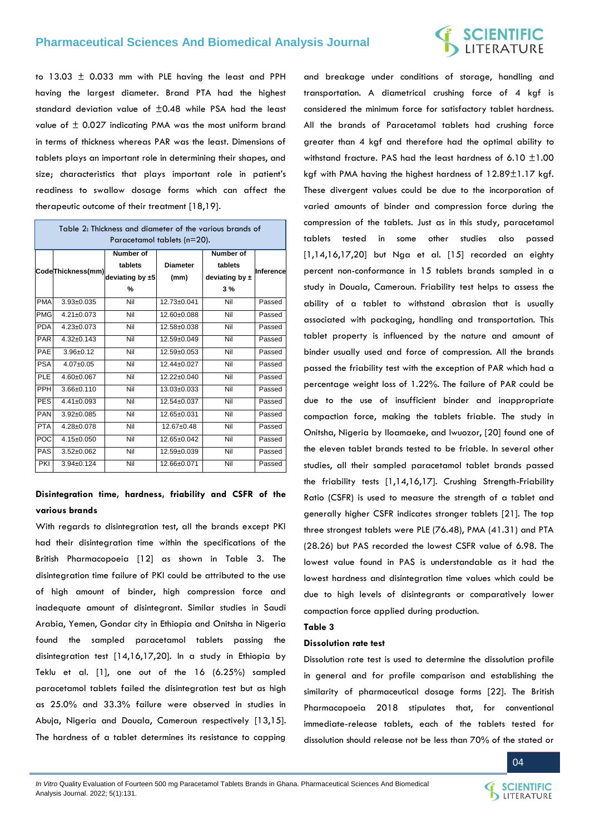## **SCIENTIFIC**<br>LITERATURE

to 13.03  $\pm$  0.033 mm with PLE having the least and PPH having the largest diameter. Brand PTA had the highest standard deviation value of ±0.48 while PSA had the least value of ± 0.027 indicating PMA was the most uniform brand in terms of thickness whereas PAR was the least. Dimensions of tablets plays an important role in determining their shapes, and size; characteristics that plays important role in patient's readiness to swallow dosage forms which can affect the therapeutic outcome of their treatment [18,19].

| Table 2: Thickness and diameter of the various brands of<br>Paracetamol tablets (n=20). |                   |                  |                   |                    |           |  |
|-----------------------------------------------------------------------------------------|-------------------|------------------|-------------------|--------------------|-----------|--|
|                                                                                         | CodeThickness(mm) | <b>Number of</b> |                   | <b>Number of</b>   |           |  |
|                                                                                         |                   | tablets          | <b>Diameter</b>   | tablets            | Inference |  |
|                                                                                         |                   | deviating by ±5  | (mm)              | deviating by $\pm$ |           |  |
|                                                                                         |                   | %                |                   | 3%                 |           |  |
| <b>PMA</b>                                                                              | $3.93 \pm 0.035$  | Nil              | $12.73 \pm 0.041$ | Nil                | Passed    |  |
| <b>PMG</b>                                                                              | $4.21 \pm 0.073$  | Nil              | $12.60+0.088$     | Nil                | Passed    |  |
| <b>PDA</b>                                                                              | $4.23 \pm 0.073$  | Nil              | $12.58 + 0.038$   | Nil                | Passed    |  |
| <b>PAR</b>                                                                              | $4.32+0.143$      | Nil              | 12.59±0.049       | Nil                | Passed    |  |
| <b>PAE</b>                                                                              | $3.96 \pm 0.12$   | Nil              | $12.59+0.053$     | Nil                | Passed    |  |
| <b>PSA</b>                                                                              | $4.07+0.05$       | Nil              | $12.44 \pm 0.027$ | Nil                | Passed    |  |
| PLE                                                                                     | $4.60 \pm 0.067$  | Nil              | $12.22 \pm 0.040$ | Nil                | Passed    |  |
| <b>PPH</b>                                                                              | $3.66 \pm 0.110$  | Nil              | 13.03±0.033       | Nil                | Passed    |  |
| <b>PES</b>                                                                              | $4.41 \pm 0.093$  | Nil              | 12.54±0.037       | Nil                | Passed    |  |
| <b>PAN</b>                                                                              | $3.92 + 0.085$    | Nil              | 12.65±0.031       | Nil                | Passed    |  |
| <b>PTA</b>                                                                              | $4.28 \pm 0.078$  | Nil              | $12.67+0.48$      | Nil                | Passed    |  |
| <b>POC</b>                                                                              | $4.15 \pm 0.050$  | Nil              | $12.65 \pm 0.042$ | Nil                | Passed    |  |
| <b>PAS</b>                                                                              | $3.52 \pm 0.062$  | Nil              | $12.59+0.039$     | Nil                | Passed    |  |
| PKI                                                                                     | $3.94 \pm 0.124$  | Nil              | 12.66±0.071       | Nil                | Passed    |  |

## **Disintegration time, hardness, friability and CSFR of the various brands**

With regards to disintegration test, all the brands except PKI had their disintegration time within the specifications of the British Pharmacopoeia [12] as shown in Table 3. The disintegration time failure of PKI could be attributed to the use of high amount of binder, high compression force and inadequate amount of disintegrant. Similar studies in Saudi Arabia, Yemen, Gondar city in Ethiopia and Onitsha in Nigeria found the sampled paracetamol tablets passing the disintegration test [14,16,17,20]. In a study in Ethiopia by Teklu et al. [1], one out of the 16 (6.25%) sampled paracetamol tablets failed the disintegration test but as high as 25.0% and 33.3% failure were observed in studies in Abuja, Nigeria and Douala, Cameroun respectively [13,15]. The hardness of a tablet determines its resistance to capping

and breakage under conditions of storage, handling and transportation. A diametrical crushing force of 4 kgf is considered the minimum force for satisfactory tablet hardness. All the brands of Paracetamol tablets had crushing force greater than 4 kgf and therefore had the optimal ability to withstand fracture. PAS had the least hardness of 6.10 ±1.00 kgf with PMA having the highest hardness of 12.89±1.17 kgf. These divergent values could be due to the incorporation of varied amounts of binder and compression force during the compression of the tablets. Just as in this study, paracetamol tablets tested in some other studies also passed [1,14,16,17,20] but Nga et al. [15] recorded an eighty percent non-conformance in 15 tablets brands sampled in a study in Douala, Cameroun. Friability test helps to assess the ability of a tablet to withstand abrasion that is usually associated with packaging, handling and transportation. This tablet property is influenced by the nature and amount of binder usually used and force of compression. All the brands passed the friability test with the exception of PAR which had a percentage weight loss of 1.22%. The failure of PAR could be due to the use of insufficient binder and inappropriate compaction force, making the tablets friable. The study in Onitsha, Nigeria by Iloamaeke, and Iwuozor, [20] found one of the eleven tablet brands tested to be friable. In several other studies, all their sampled paracetamol tablet brands passed the friability tests [1,14,16,17]. Crushing Strength-Friability Ratio (CSFR) is used to measure the strength of a tablet and generally higher CSFR indicates stronger tablets [21]. The top three strongest tablets were PLE (76.48), PMA (41.31) and PTA (28.26) but PAS recorded the lowest CSFR value of 6.98. The lowest value found in PAS is understandable as it had the lowest hardness and disintegration time values which could be due to high levels of disintegrants or comparatively lower compaction force applied during production.

#### **Table 3**

### **Dissolution rate test**

Dissolution rate test is used to determine the dissolution profile in general and for profile comparison and establishing the similarity of pharmaceutical dosage forms [22]. The British Pharmacopoeia 2018 stipulates that, for conventional immediate-release tablets, each of the tablets tested for dissolution should release not be less than 70% of the stated or

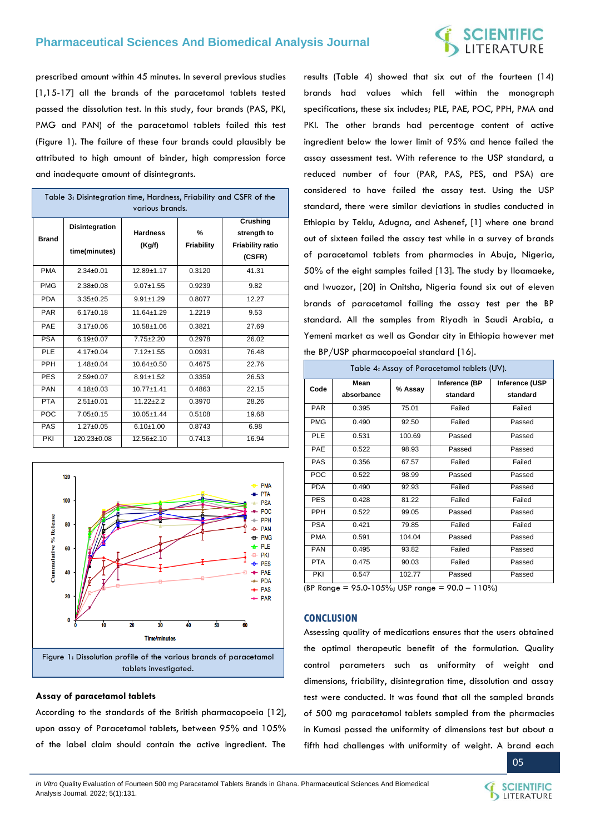# **SCIENTIFIC**<br>LITERATURE

prescribed amount within 45 minutes. In several previous studies [1,15-17] all the brands of the paracetamol tablets tested passed the dissolution test. In this study, four brands (PAS, PKI, PMG and PAN) of the paracetamol tablets failed this test (Figure 1). The failure of these four brands could plausibly be attributed to high amount of binder, high compression force and inadequate amount of disintegrants.

| Table 3: Disintegration time, Hardness, Friability and CSFR of the<br>various brands. |                       |                  |            |                                |
|---------------------------------------------------------------------------------------|-----------------------|------------------|------------|--------------------------------|
| <b>Brand</b>                                                                          | <b>Disintegration</b> | <b>Hardness</b>  | %          | <b>Crushing</b><br>strength to |
|                                                                                       | time(minutes)         | (Kg/f)           | Friability | <b>Friability ratio</b>        |
|                                                                                       |                       |                  |            | (CSFR)                         |
| <b>PMA</b>                                                                            | $2.34 \pm 0.01$       | $12.89 + 1.17$   | 0.3120     | 41.31                          |
| <b>PMG</b>                                                                            | $2.38 + 0.08$         | $9.07 + 1.55$    | 0.9239     | 9.82                           |
| <b>PDA</b>                                                                            | $3.35 \pm 0.25$       | $9.91 + 1.29$    | 0.8077     | 12.27                          |
| <b>PAR</b>                                                                            | $6.17 \pm 0.18$       | $11.64 \pm 1.29$ | 1.2219     | 9.53                           |
| PAE                                                                                   | $3.17 \pm 0.06$       | $10.58 + 1.06$   | 0.3821     | 27.69                          |
| <b>PSA</b>                                                                            | $6.19 \pm 0.07$       | $7.75 + 2.20$    | 0.2978     | 26.02                          |
| PLE                                                                                   | $4.17 \pm 0.04$       | $7.12 \pm 1.55$  | 0.0931     | 76.48                          |
| PPH                                                                                   | $1.48 + 0.04$         | $10.64 \pm 0.50$ | 0.4675     | 22.76                          |
| <b>PES</b>                                                                            | $2.59+0.07$           | $8.91 \pm 1.52$  | 0.3359     | 26.53                          |
| <b>PAN</b>                                                                            | $4.18 \pm 0.03$       | $10.77 + 1.41$   | 0.4863     | 22.15                          |
| <b>PTA</b>                                                                            | $2.51 \pm 0.01$       | $11.22 + 2.2$    | 0.3970     | 28.26                          |
| POC                                                                                   | $7.05 \pm 0.15$       | $10.05 + 1.44$   | 0.5108     | 19.68                          |
| <b>PAS</b>                                                                            | $1.27 \pm 0.05$       | $6.10 \pm 1.00$  | 0.8743     | 6.98                           |
| PKI                                                                                   | $120.23 \pm 0.08$     | $12.56 + 2.10$   | 0.7413     | 16.94                          |



### **Assay of paracetamol tablets**

According to the standards of the British pharmacopoeia [12], upon assay of Paracetamol tablets, between 95% and 105% of the label claim should contain the active ingredient. The

results (Table 4) showed that six out of the fourteen (14) brands had values which fell within the monograph specifications, these six includes; PLE, PAE, POC, PPH, PMA and PKI. The other brands had percentage content of active ingredient below the lower limit of 95% and hence failed the assay assessment test. With reference to the USP standard, a reduced number of four (PAR, PAS, PES, and PSA) are considered to have failed the assay test. Using the USP standard, there were similar deviations in studies conducted in Ethiopia by Teklu, Adugna, and Ashenef, [1] where one brand out of sixteen failed the assay test while in a survey of brands of paracetamol tablets from pharmacies in Abuja, Nigeria, 50% of the eight samples failed [13]. The study by Iloamaeke, and Iwuozor, [20] in Onitsha, Nigeria found six out of eleven brands of paracetamol failing the assay test per the BP standard. All the samples from Riyadh in Saudi Arabia, a Yemeni market as well as Gondar city in Ethiopia however met the BP/USP pharmacopoeial standard [16].

| Table 4: Assay of Paracetamol tablets (UV). |                    |         |                           |                            |
|---------------------------------------------|--------------------|---------|---------------------------|----------------------------|
| Code                                        | Mean<br>absorbance | % Assay | Inference (BP<br>standard | Inference (USP<br>standard |
| <b>PAR</b>                                  | 0.395              | 75.01   | Failed                    | Failed                     |
| <b>PMG</b>                                  | 0.490              | 92.50   | Failed                    | Passed                     |
| <b>PLE</b>                                  | 0.531              | 100.69  | Passed                    | Passed                     |
| PAE                                         | 0.522              | 98.93   | Passed                    | Passed                     |
| PAS                                         | 0.356              | 67.57   | Failed                    | Failed                     |
| <b>POC</b>                                  | 0.522              | 98.99   | Passed                    | Passed                     |
| <b>PDA</b>                                  | 0.490              | 92.93   | Failed                    | Passed                     |
| <b>PES</b>                                  | 0.428              | 81.22   | Failed                    | Failed                     |
| <b>PPH</b>                                  | 0.522              | 99.05   | Passed                    | Passed                     |
| <b>PSA</b>                                  | 0.421              | 79.85   | Failed                    | Failed                     |
| <b>PMA</b>                                  | 0.591              | 104.04  | Passed                    | Passed                     |
| <b>PAN</b>                                  | 0.495              | 93.82   | Failed                    | Passed                     |
| <b>PTA</b>                                  | 0.475              | 90.03   | Failed                    | Passed                     |
| PKI                                         | 0.547              | 102.77  | Passed                    | Passed                     |

(BP Range = 95.0-105%; USP range = 90.0 – 110%)

## **CONCLUSION**

Assessing quality of medications ensures that the users obtained the optimal therapeutic benefit of the formulation. Quality control parameters such as uniformity of weight and dimensions, friability, disintegration time, dissolution and assay test were conducted. It was found that all the sampled brands of 500 mg paracetamol tablets sampled from the pharmacies in Kumasi passed the uniformity of dimensions test but about a fifth had challenges with uniformity of weight. A brand each

05

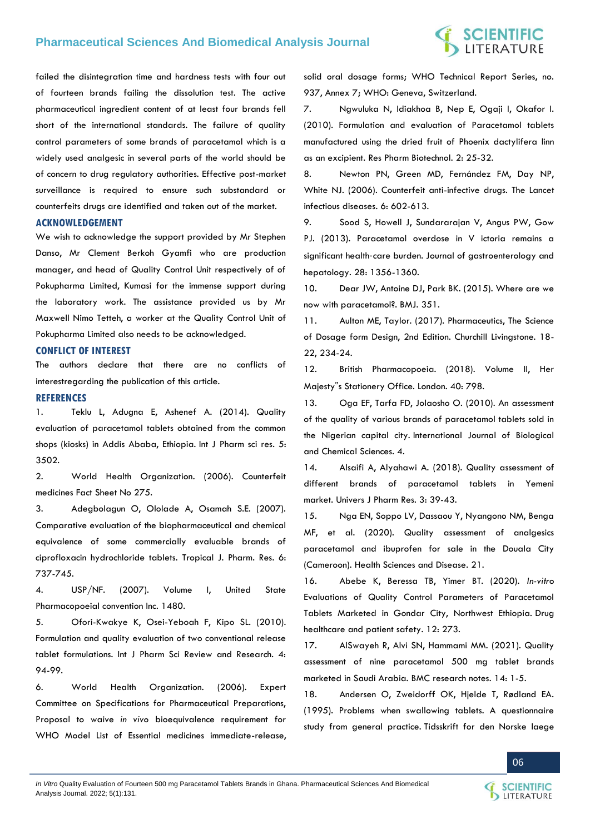## **SCIENTIFIC**<br>LITERATURE

failed the disintegration time and hardness tests with four out of fourteen brands failing the dissolution test. The active pharmaceutical ingredient content of at least four brands fell short of the international standards. The failure of quality control parameters of some brands of paracetamol which is a widely used analgesic in several parts of the world should be of concern to drug regulatory authorities. Effective post-market surveillance is required to ensure such substandard or counterfeits drugs are identified and taken out of the market.

## **ACKNOWLEDGEMENT**

We wish to acknowledge the support provided by Mr Stephen Danso, Mr Clement Berkoh Gyamfi who are production manager, and head of Quality Control Unit respectively of of Pokupharma Limited, Kumasi for the immense support during the laboratory work. The assistance provided us by Mr Maxwell Nimo Tetteh, a worker at the Quality Control Unit of Pokupharma Limited also needs to be acknowledged.

### **CONFLICT OF INTEREST**

The authors declare that there are no conflicts of interestregarding the publication of this article.

## **REFERENCES**

1. [Teklu L, Adugna E, Ashenef A. \(2014\). Quality](http://ijpsr.com/bft-article/quality-evaluation-of-paracetamol-tablets-obtained-from-the-common-shops-kiosks-in-addis-ababa-ethiopia/?view=fulltext)  [evaluation of paracetamol tablets obtained from the common](http://ijpsr.com/bft-article/quality-evaluation-of-paracetamol-tablets-obtained-from-the-common-shops-kiosks-in-addis-ababa-ethiopia/?view=fulltext)  [shops \(kiosks\) in Addis Ababa, Ethiopia.](http://ijpsr.com/bft-article/quality-evaluation-of-paracetamol-tablets-obtained-from-the-common-shops-kiosks-in-addis-ababa-ethiopia/?view=fulltext) Int J Pharm sci res. 5: [3502.](http://ijpsr.com/bft-article/quality-evaluation-of-paracetamol-tablets-obtained-from-the-common-shops-kiosks-in-addis-ababa-ethiopia/?view=fulltext)

2. World Health Organization. (2006). Counterfeit medicines Fact Sheet No 275.

3. [Adegbolagun O, Ololade A, Osamah S.E. \(2007\).](https://www.ajol.info/index.php/tjpr/article/view/14654)  [Comparative evaluation of the biopharmaceutical and chemical](https://www.ajol.info/index.php/tjpr/article/view/14654)  [equivalence of some commercially evaluable brands of](https://www.ajol.info/index.php/tjpr/article/view/14654)  [ciprofloxacin hydrochloride tablets. Tropical J. Pharm. Res. 6:](https://www.ajol.info/index.php/tjpr/article/view/14654)  [737-745.](https://www.ajol.info/index.php/tjpr/article/view/14654)

4. [USP/NF. \(2007\). Volume I, United State](Volume%20I,%20United%20State%20Pharmacopoeial%20convention%20Inc.%201480)  [Pharmacopoeial convention Inc. 1480.](Volume%20I,%20United%20State%20Pharmacopoeial%20convention%20Inc.%201480)

5. [Ofori-Kwakye K, Osei-Yeboah F, Kipo SL. \(2010\).](https://www.researchgate.net/publication/253241839_Formulation_and_quality_evaluation_of_two_conventional_release_tablet_formulations)  [Formulation and quality evaluation of two conventional release](https://www.researchgate.net/publication/253241839_Formulation_and_quality_evaluation_of_two_conventional_release_tablet_formulations)  [tablet formulations. Int J Pharm Sci Review and Research. 4:](https://www.researchgate.net/publication/253241839_Formulation_and_quality_evaluation_of_two_conventional_release_tablet_formulations)  [94-99.](https://www.researchgate.net/publication/253241839_Formulation_and_quality_evaluation_of_two_conventional_release_tablet_formulations)

6. World Health Organization. (2006). Expert Committee on Specifications for Pharmaceutical Preparations, Proposal to waive *in vivo* bioequivalence requirement for WHO Model List of Essential medicines immediate-release, solid oral dosage forms; WHO Technical Report Series, no. 937, Annex 7; WHO: Geneva, Switzerland.

7. [Ngwuluka N, Idiakhoa B, Nep E, Ogaji I, Okafor I.](https://academicjournals.org/journal/RPB/article-full-text-pdf/A2E3092457)  [\(2010\). Formulation and evaluation of Paracetamol tablets](https://academicjournals.org/journal/RPB/article-full-text-pdf/A2E3092457)  [manufactured using the dried fruit of Phoenix dactylifera linn](https://academicjournals.org/journal/RPB/article-full-text-pdf/A2E3092457)  [as an excipient. Res Pharm Biotechnol. 2: 25-32.](https://academicjournals.org/journal/RPB/article-full-text-pdf/A2E3092457)

8. [Newton PN, Green MD, Fernández FM, Day NP,](https://pubmed.ncbi.nlm.nih.gov/16931411/)  [White NJ. \(2006\). Counterfeit anti-infective drugs. The Lancet](https://pubmed.ncbi.nlm.nih.gov/16931411/)  [infectious diseases. 6: 602-613.](https://pubmed.ncbi.nlm.nih.gov/16931411/)

9. [Sood S, Howell J, Sundararajan V, Angus PW, Gow](https://pubmed.ncbi.nlm.nih.gov/23489151/)  [PJ. \(2013\). Paracetamol overdose in V ictoria remains a](https://pubmed.ncbi.nlm.nih.gov/23489151/)  significant health‐[care burden. Journal of gastroenterology and](https://pubmed.ncbi.nlm.nih.gov/23489151/)  [hepatology. 28: 1356-1360.](https://pubmed.ncbi.nlm.nih.gov/23489151/)

10. [Dear JW, Antoine DJ, Park BK. \(2015\). Where are we](https://pubmed.ncbi.nlm.nih.gov/26163298/)  [now with paracetamol?. BMJ. 351.](https://pubmed.ncbi.nlm.nih.gov/26163298/)

11. [Aulton ME, Taylor. \(2017\). Pharmaceutics, The Science](https://www.academia.edu/37211563/Pharmaceutics_The_Science_of_Dosage_Form_Design_2Ed_M_E_Aulton_v)  [of Dosage form Design, 2nd Edition. Churchill Livingstone. 18-](https://www.academia.edu/37211563/Pharmaceutics_The_Science_of_Dosage_Form_Design_2Ed_M_E_Aulton_v) [22, 234-24.](https://www.academia.edu/37211563/Pharmaceutics_The_Science_of_Dosage_Form_Design_2Ed_M_E_Aulton_v)

12. British Pharmacopoeia. (2018). Volume II, Her Majesty"s Stationery Office. London. 40: 798.

13. [Oga EF, Tarfa FD, Jolaosho O. \(2010\). An assessment](https://www.ajol.info/index.php/ijbcs/article/view/54237)  [of the quality of various brands of paracetamol tablets sold in](https://www.ajol.info/index.php/ijbcs/article/view/54237)  the Nigerian capital city. [International Journal of Biological](https://www.ajol.info/index.php/ijbcs/article/view/54237)  [and Chemical Sciences. 4.](https://www.ajol.info/index.php/ijbcs/article/view/54237)

14. [Alsaifi A, Alyahawi A. \(2018\). Quality assessment of](https://www.semanticscholar.org/paper/QUALITY-ASSESSMENT-OF-DIFFERENT-BRANDS-OF-TABLETS-Alsaifi-Alyahawi/4a8e5d1cc3a6f7ce6ba50498657f16b9c19779d9)  [different brands of paracetamol tablets in Yemeni](https://www.semanticscholar.org/paper/QUALITY-ASSESSMENT-OF-DIFFERENT-BRANDS-OF-TABLETS-Alsaifi-Alyahawi/4a8e5d1cc3a6f7ce6ba50498657f16b9c19779d9)  market. [Univers J Pharm Res. 3: 39-43.](https://www.semanticscholar.org/paper/QUALITY-ASSESSMENT-OF-DIFFERENT-BRANDS-OF-TABLETS-Alsaifi-Alyahawi/4a8e5d1cc3a6f7ce6ba50498657f16b9c19779d9)

15. [Nga EN, Soppo LV, Dassaou Y, Nyangono NM, Benga](https://www.hsd-fmsb.org/index.php/hsd/article/view/1794)  [MF, et al. \(2020\). Quality assessment of analgesics](https://www.hsd-fmsb.org/index.php/hsd/article/view/1794)  [paracetamol and ibuprofen for sale in the Douala City](https://www.hsd-fmsb.org/index.php/hsd/article/view/1794)  (Cameroon). [Health Sciences and Disease. 21.](https://www.hsd-fmsb.org/index.php/hsd/article/view/1794)

16. [Abebe K, Beressa TB, Yimer BT. \(2020\).](https://www.dovepress.com/in-vitro-evaluations-of-quality-control-parameters-of-paracetamol-tabl-peer-reviewed-fulltext-article-DHPS) *In-vitro* [Evaluations of Quality Control Parameters of Paracetamol](https://www.dovepress.com/in-vitro-evaluations-of-quality-control-parameters-of-paracetamol-tabl-peer-reviewed-fulltext-article-DHPS)  [Tablets Marketed in Gondar City, Northwest Ethiopia.](https://www.dovepress.com/in-vitro-evaluations-of-quality-control-parameters-of-paracetamol-tabl-peer-reviewed-fulltext-article-DHPS) Drug [healthcare and patient safety. 12: 273.](https://www.dovepress.com/in-vitro-evaluations-of-quality-control-parameters-of-paracetamol-tabl-peer-reviewed-fulltext-article-DHPS)

17. [AlSwayeh R, Alvi SN, Hammami MM. \(2021\). Quality](https://bmcresnotes.biomedcentral.com/articles/10.1186/s13104-021-05672-y)  [assessment of nine paracetamol 500 mg tablet brands](https://bmcresnotes.biomedcentral.com/articles/10.1186/s13104-021-05672-y)  marketed in Saudi Arabia. [BMC research notes. 14: 1-5.](https://bmcresnotes.biomedcentral.com/articles/10.1186/s13104-021-05672-y)

18. [Andersen O, Zweidorff OK, Hjelde T, Rødland EA.](https://pubmed.ncbi.nlm.nih.gov/7709385/)  [\(1995\). Problems when swallowing tablets. A questionnaire](https://pubmed.ncbi.nlm.nih.gov/7709385/)  study from general practice. [Tidsskrift for den Norske laege](https://pubmed.ncbi.nlm.nih.gov/7709385/)